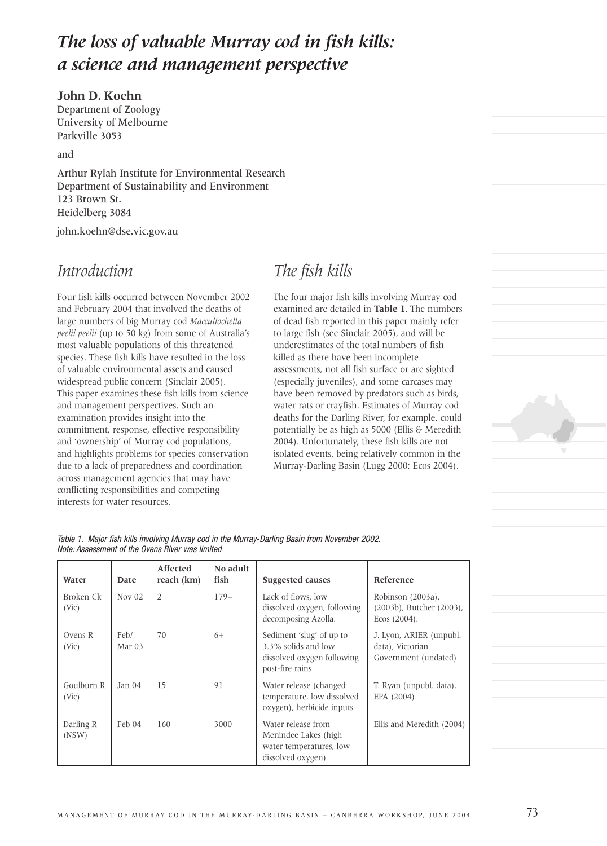# *The loss of valuable Murray cod in fish kills: a science and management perspective*

### **John D. Koehn**

Department of Zoology University of Melbourne Parkville 3053

and

Arthur Rylah Institute for Environmental Research Department of Sustainability and Environment 123 Brown St. Heidelberg 3084

john.koehn@dse.vic.gov.au

## *Introduction*

Four fish kills occurred between November 2002 and February 2004 that involved the deaths of large numbers of big Murray cod *Maccullochella peelii peelii* (up to 50 kg) from some of Australia's most valuable populations of this threatened species. These fish kills have resulted in the loss of valuable environmental assets and caused widespread public concern (Sinclair 2005). This paper examines these fish kills from science and management perspectives. Such an examination provides insight into the commitment, response, effective responsibility and 'ownership' of Murray cod populations, and highlights problems for species conservation due to a lack of preparedness and coordination across management agencies that may have conflicting responsibilities and competing interests for water resources.

# *The fish kills*

The four major fish kills involving Murray cod examined are detailed in **Table 1**. The numbers of dead fish reported in this paper mainly refer to large fish (see Sinclair 2005), and will be underestimates of the total numbers of fish killed as there have been incomplete assessments, not all fish surface or are sighted (especially juveniles), and some carcases may have been removed by predators such as birds, water rats or crayfish. Estimates of Murray cod deaths for the Darling River, for example, could potentially be as high as 5000 (Ellis & Meredith 2004). Unfortunately, these fish kills are not isolated events, being relatively common in the Murray-Darling Basin (Lugg 2000; Ecos 2004).



Table 1. Major fish kills involving Murray cod in the Murray-Darling Basin from November 2002. Note: Assessment of the Ovens River was limited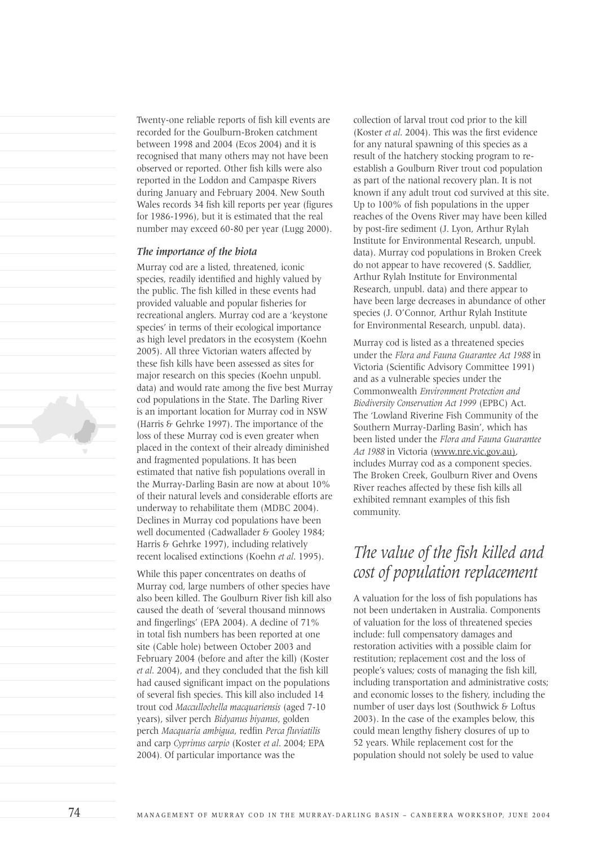Twenty-one reliable reports of fish kill events are recorded for the Goulburn-Broken catchment between 1998 and 2004 (Ecos 2004) and it is recognised that many others may not have been observed or reported. Other fish kills were also reported in the Loddon and Campaspe Rivers during January and February 2004. New South Wales records 34 fish kill reports per year (figures for 1986-1996), but it is estimated that the real number may exceed 60-80 per year (Lugg 2000).

#### *The importance of the biota*

Murray cod are a listed, threatened, iconic species, readily identified and highly valued by the public. The fish killed in these events had provided valuable and popular fisheries for recreational anglers. Murray cod are a 'keystone species' in terms of their ecological importance as high level predators in the ecosystem (Koehn 2005). All three Victorian waters affected by these fish kills have been assessed as sites for major research on this species (Koehn unpubl. data) and would rate among the five best Murray cod populations in the State. The Darling River is an important location for Murray cod in NSW (Harris & Gehrke 1997). The importance of the loss of these Murray cod is even greater when placed in the context of their already diminished and fragmented populations. It has been estimated that native fish populations overall in the Murray-Darling Basin are now at about 10% of their natural levels and considerable efforts are underway to rehabilitate them (MDBC 2004). Declines in Murray cod populations have been well documented (Cadwallader & Gooley 1984; Harris & Gehrke 1997), including relatively recent localised extinctions (Koehn *et al*. 1995).

While this paper concentrates on deaths of Murray cod, large numbers of other species have also been killed. The Goulburn River fish kill also caused the death of 'several thousand minnows and fingerlings' (EPA 2004). A decline of 71% in total fish numbers has been reported at one site (Cable hole) between October 2003 and February 2004 (before and after the kill) (Koster *et al*. 2004), and they concluded that the fish kill had caused significant impact on the populations of several fish species. This kill also included 14 trout cod *Maccullochella macquariensis* (aged 7-10 years), silver perch *Bidyanus biyanus*, golden perch *Macquaria ambigua*, redfin *Perca fluviatilis* and carp *Cyprinus carpio* (Koster *et al*. 2004; EPA 2004)*.* Of particular importance was the

collection of larval trout cod prior to the kill (Koster *et al*. 2004). This was the first evidence for any natural spawning of this species as a result of the hatchery stocking program to reestablish a Goulburn River trout cod population as part of the national recovery plan. It is not known if any adult trout cod survived at this site. Up to 100% of fish populations in the upper reaches of the Ovens River may have been killed by post-fire sediment (J. Lyon, Arthur Rylah Institute for Environmental Research, unpubl. data). Murray cod populations in Broken Creek do not appear to have recovered (S. Saddlier, Arthur Rylah Institute for Environmental Research, unpubl. data) and there appear to have been large decreases in abundance of other species (J. O'Connor, Arthur Rylah Institute for Environmental Research, unpubl. data).

Murray cod is listed as a threatened species under the *Flora and Fauna Guarantee Act 1988* in Victoria (Scientific Advisory Committee 1991) and as a vulnerable species under the Commonwealth *Environment Protection and Biodiversity Conservation Act 1999* (EPBC) Act. The 'Lowland Riverine Fish Community of the Southern Murray-Darling Basin', which has been listed under the *Flora and Fauna Guarantee Act 1988* in Victoria (www.nre.vic.gov.au), includes Murray cod as a component species. The Broken Creek, Goulburn River and Ovens River reaches affected by these fish kills all exhibited remnant examples of this fish community.

## *The value of the fish killed and cost of population replacement*

A valuation for the loss of fish populations has not been undertaken in Australia. Components of valuation for the loss of threatened species include: full compensatory damages and restoration activities with a possible claim for restitution; replacement cost and the loss of people's values; costs of managing the fish kill, including transportation and administrative costs; and economic losses to the fishery, including the number of user days lost (Southwick & Loftus 2003). In the case of the examples below, this could mean lengthy fishery closures of up to 52 years. While replacement cost for the population should not solely be used to value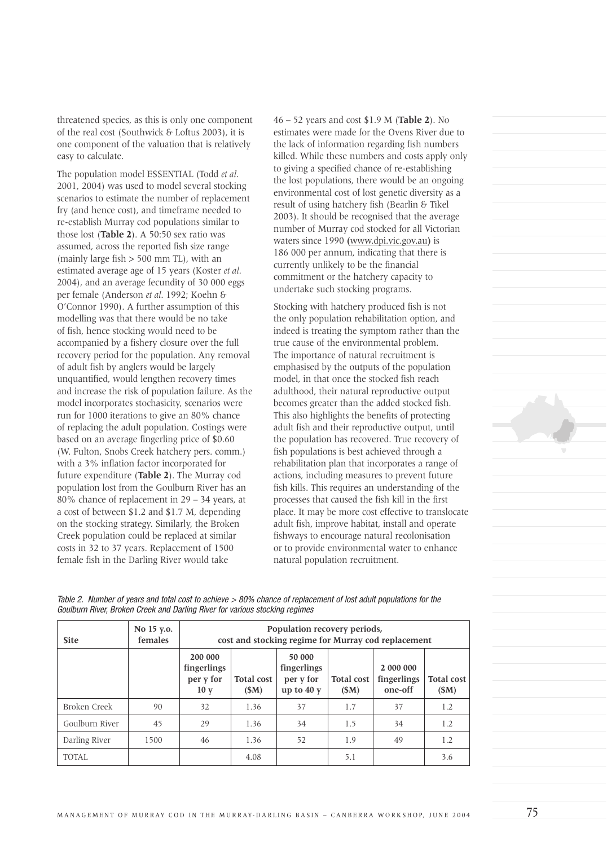threatened species, as this is only one component of the real cost (Southwick & Loftus 2003), it is one component of the valuation that is relatively easy to calculate.

The population model ESSENTIAL (Todd *et al*. 2001, 2004) was used to model several stocking scenarios to estimate the number of replacement fry (and hence cost), and timeframe needed to re-establish Murray cod populations similar to those lost (**Table 2**). A 50:50 sex ratio was assumed, across the reported fish size range (mainly large fish  $> 500$  mm TL), with an estimated average age of 15 years (Koster *et al*. 2004), and an average fecundity of 30 000 eggs per female (Anderson *et al*. 1992; Koehn & O'Connor 1990). A further assumption of this modelling was that there would be no take of fish, hence stocking would need to be accompanied by a fishery closure over the full recovery period for the population. Any removal of adult fish by anglers would be largely unquantified, would lengthen recovery times and increase the risk of population failure. As the model incorporates stochasicity, scenarios were run for 1000 iterations to give an 80% chance of replacing the adult population. Costings were based on an average fingerling price of \$0.60 (W. Fulton, Snobs Creek hatchery pers. comm.) with a 3% inflation factor incorporated for future expenditure (**Table 2**). The Murray cod population lost from the Goulburn River has an 80% chance of replacement in 29 – 34 years, at a cost of between \$1.2 and \$1.7 M, depending on the stocking strategy. Similarly, the Broken Creek population could be replaced at similar costs in 32 to 37 years. Replacement of 1500 female fish in the Darling River would take

46 – 52 years and cost \$1.9 M (**Table 2**). No estimates were made for the Ovens River due to the lack of information regarding fish numbers killed. While these numbers and costs apply only to giving a specified chance of re-establishing the lost populations, there would be an ongoing environmental cost of lost genetic diversity as a result of using hatchery fish (Bearlin & Tikel 2003). It should be recognised that the average number of Murray cod stocked for all Victorian waters since 1990 **(**www.dpi.vic.gov.au**)** is 186 000 per annum, indicating that there is currently unlikely to be the financial commitment or the hatchery capacity to undertake such stocking programs.

Stocking with hatchery produced fish is not the only population rehabilitation option, and indeed is treating the symptom rather than the true cause of the environmental problem. The importance of natural recruitment is emphasised by the outputs of the population model, in that once the stocked fish reach adulthood, their natural reproductive output becomes greater than the added stocked fish. This also highlights the benefits of protecting adult fish and their reproductive output, until the population has recovered. True recovery of fish populations is best achieved through a rehabilitation plan that incorporates a range of actions, including measures to prevent future fish kills. This requires an understanding of the processes that caused the fish kill in the first place. It may be more cost effective to translocate adult fish, improve habitat, install and operate fishways to encourage natural recolonisation or to provide environmental water to enhance natural population recruitment.



Table 2. Number of years and total cost to achieve > 80% chance of replacement of lost adult populations for the Goulburn River, Broken Creek and Darling River for various stocking regimes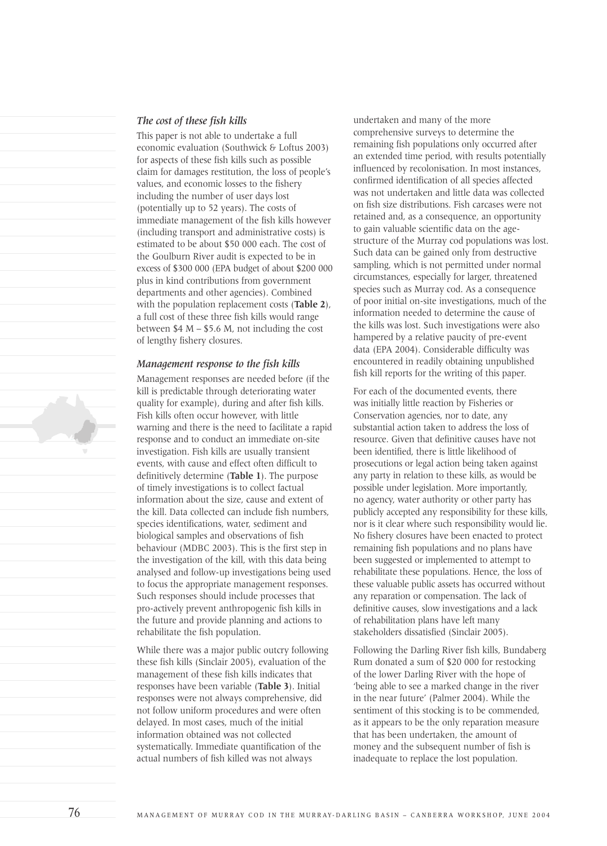# This paper is not able to undertake a full

*The cost of these fish kills*

economic evaluation (Southwick & Loftus 2003) for aspects of these fish kills such as possible claim for damages restitution, the loss of people's values, and economic losses to the fishery including the number of user days lost (potentially up to 52 years). The costs of immediate management of the fish kills however (including transport and administrative costs) is estimated to be about \$50 000 each. The cost of the Goulburn River audit is expected to be in excess of \$300 000 (EPA budget of about \$200 000 plus in kind contributions from government departments and other agencies). Combined with the population replacement costs (**Table 2**), a full cost of these three fish kills would range between  $$4 M - $5.6 M$ , not including the cost of lengthy fishery closures.

### *Management response to the fish kills*

Management responses are needed before (if the kill is predictable through deteriorating water quality for example), during and after fish kills. Fish kills often occur however, with little warning and there is the need to facilitate a rapid response and to conduct an immediate on-site investigation. Fish kills are usually transient events, with cause and effect often difficult to definitively determine (**Table 1**). The purpose of timely investigations is to collect factual information about the size, cause and extent of the kill. Data collected can include fish numbers, species identifications, water, sediment and biological samples and observations of fish behaviour (MDBC 2003). This is the first step in the investigation of the kill, with this data being analysed and follow-up investigations being used to focus the appropriate management responses. Such responses should include processes that pro-actively prevent anthropogenic fish kills in the future and provide planning and actions to rehabilitate the fish population.

While there was a major public outcry following these fish kills (Sinclair 2005), evaluation of the management of these fish kills indicates that responses have been variable (**Table 3**). Initial responses were not always comprehensive, did not follow uniform procedures and were often delayed. In most cases, much of the initial information obtained was not collected systematically. Immediate quantification of the actual numbers of fish killed was not always

undertaken and many of the more comprehensive surveys to determine the remaining fish populations only occurred after an extended time period, with results potentially influenced by recolonisation. In most instances, confirmed identification of all species affected was not undertaken and little data was collected on fish size distributions. Fish carcases were not retained and, as a consequence, an opportunity to gain valuable scientific data on the agestructure of the Murray cod populations was lost. Such data can be gained only from destructive sampling, which is not permitted under normal circumstances, especially for larger, threatened species such as Murray cod. As a consequence of poor initial on-site investigations, much of the information needed to determine the cause of the kills was lost. Such investigations were also hampered by a relative paucity of pre-event data (EPA 2004). Considerable difficulty was encountered in readily obtaining unpublished fish kill reports for the writing of this paper.

For each of the documented events, there was initially little reaction by Fisheries or Conservation agencies, nor to date, any substantial action taken to address the loss of resource. Given that definitive causes have not been identified, there is little likelihood of prosecutions or legal action being taken against any party in relation to these kills, as would be possible under legislation. More importantly, no agency, water authority or other party has publicly accepted any responsibility for these kills, nor is it clear where such responsibility would lie. No fishery closures have been enacted to protect remaining fish populations and no plans have been suggested or implemented to attempt to rehabilitate these populations. Hence, the loss of these valuable public assets has occurred without any reparation or compensation. The lack of definitive causes, slow investigations and a lack of rehabilitation plans have left many stakeholders dissatisfied (Sinclair 2005).

Following the Darling River fish kills, Bundaberg Rum donated a sum of \$20 000 for restocking of the lower Darling River with the hope of 'being able to see a marked change in the river in the near future' (Palmer 2004). While the sentiment of this stocking is to be commended, as it appears to be the only reparation measure that has been undertaken, the amount of money and the subsequent number of fish is inadequate to replace the lost population.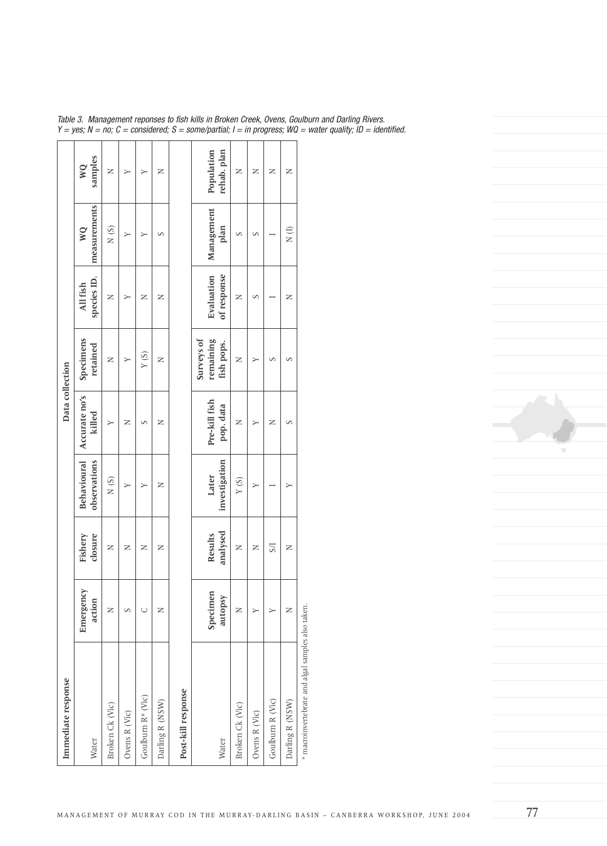| Immediate response                                |                     |                    |                                    | Data collection         |                                |                         |                               |               |
|---------------------------------------------------|---------------------|--------------------|------------------------------------|-------------------------|--------------------------------|-------------------------|-------------------------------|---------------|
| Water                                             | Emergency<br>action | closure<br>Fishery | <b>Behavioural</b><br>observations | Accurate no's<br>killed | Specimens<br>retained          | species ID.<br>All fish | measurements<br>$\mathsf{WQ}$ | samples<br>WQ |
| Broken Ck (Vic)                                   | $\succ$             | z                  | N(S)                               | ≻                       | z                              | z                       | N(S)                          | z             |
| Ovens R (Vic)                                     | S                   | z                  | Y                                  | Z                       | Y                              | ≻                       | $\mapsto$                     | Y             |
| Goulburn R* (Vic)                                 | U                   | z                  | Y                                  | S                       | Y(S)                           | z                       | ≻                             | Y             |
| Darling R (NSW)                                   | z                   | Z                  | z                                  | z                       | z                              | z                       | S                             | z             |
| Post-kill response                                |                     |                    |                                    |                         |                                |                         |                               |               |
|                                                   | Specimen            | Results            | Later                              | Pre-kill fish           | <b>Surveys of</b><br>remaining | Evaluation              | Management                    | Population    |
| Water                                             | autopsy             | analysed           | investigation                      | pop. data               | fish pops.                     | of response             | plan                          | rehab. plan   |
| Broken Ck (Vic)                                   | z                   | Z                  | Y(S)                               | z                       | Z                              | z                       | S                             | z             |
| Ovens R (Vic)                                     | ⋗                   | $\succ$            | Υ                                  | ≻                       | $\blacktriangleright$          | S                       | S                             | z             |
| Goulburn R (Vic)                                  | ⋗                   | <b>S/I</b>         |                                    | z                       | S                              |                         |                               | z             |
| Darling R (NSW)                                   | z                   | Z                  | ≻                                  | S                       | S                              | z                       | $\frac{1}{2}$                 | z             |
| * macroinvertebrate and algal samples also taken. |                     |                    |                                    |                         |                                |                         |                               |               |

Table 3. Management reponses to fish kills in Broken Creek, Ovens, Goulburn and Darling Rivers. Y = yes; N = no; C = considered; S = some/partial; I = in progress; WQ = water quality; ID = identified.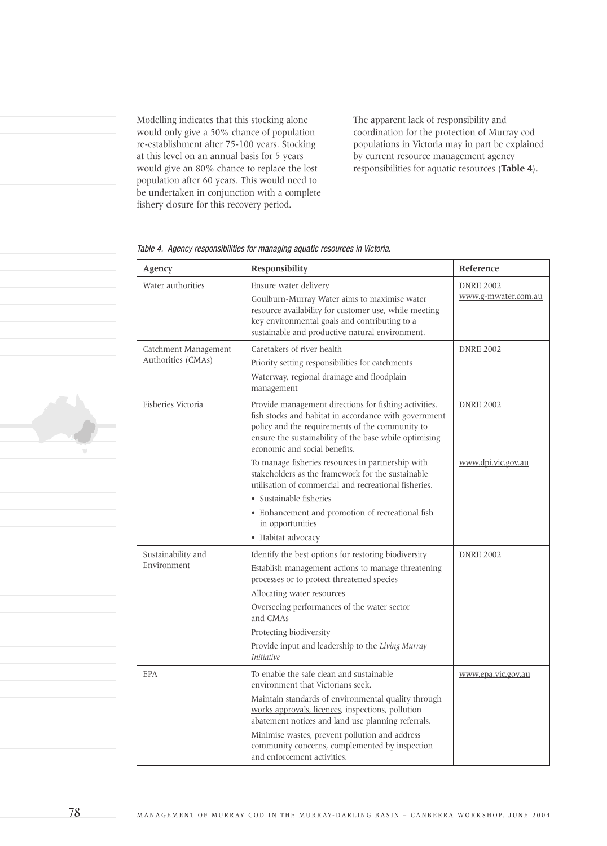Modelling indicates that this stocking alone would only give a 50% chance of population re-establishment after 75-100 years. Stocking at this level on an annual basis for 5 years would give an 80% chance to replace the lost population after 60 years. This would need to be undertaken in conjunction with a complete fishery closure for this recovery period.

The apparent lack of responsibility and coordination for the protection of Murray cod populations in Victoria may in part be explained by current resource management agency responsibilities for aquatic resources (**Table 4**).

| Agency                                     | Responsibility                                                                                                                                                                                                                                               | Reference                               |
|--------------------------------------------|--------------------------------------------------------------------------------------------------------------------------------------------------------------------------------------------------------------------------------------------------------------|-----------------------------------------|
| Water authorities                          | Ensure water delivery<br>Goulburn-Murray Water aims to maximise water<br>resource availability for customer use, while meeting<br>key environmental goals and contributing to a<br>sustainable and productive natural environment.                           | <b>DNRE 2002</b><br>www.g-mwater.com.au |
| Catchment Management<br>Authorities (CMAs) | Caretakers of river health<br>Priority setting responsibilities for catchments<br>Waterway, regional drainage and floodplain<br>management                                                                                                                   | <b>DNRE 2002</b>                        |
| Fisheries Victoria                         | Provide management directions for fishing activities,<br>fish stocks and habitat in accordance with government<br>policy and the requirements of the community to<br>ensure the sustainability of the base while optimising<br>economic and social benefits. | <b>DNRE 2002</b>                        |
|                                            | To manage fisheries resources in partnership with<br>stakeholders as the framework for the sustainable<br>utilisation of commercial and recreational fisheries.                                                                                              | www.dpi.vic.gov.au                      |
|                                            | • Sustainable fisheries                                                                                                                                                                                                                                      |                                         |
|                                            | • Enhancement and promotion of recreational fish<br>in opportunities                                                                                                                                                                                         |                                         |
|                                            | • Habitat advocacy                                                                                                                                                                                                                                           |                                         |
| Sustainability and<br>Environment          | Identify the best options for restoring biodiversity<br>Establish management actions to manage threatening<br>processes or to protect threatened species<br>Allocating water resources                                                                       | <b>DNRE 2002</b>                        |
|                                            | Overseeing performances of the water sector<br>and CMAs                                                                                                                                                                                                      |                                         |
|                                            | Protecting biodiversity<br>Provide input and leadership to the Living Murray<br><i>Initiative</i>                                                                                                                                                            |                                         |
| <b>EPA</b>                                 | To enable the safe clean and sustainable<br>environment that Victorians seek.                                                                                                                                                                                | www.epa.vic.gov.au                      |
|                                            | Maintain standards of environmental quality through<br>works approvals, licences, inspections, pollution<br>abatement notices and land use planning referrals.                                                                                               |                                         |
|                                            | Minimise wastes, prevent pollution and address<br>community concerns, complemented by inspection<br>and enforcement activities.                                                                                                                              |                                         |

Table 4. Agency responsibilities for managing aquatic resources in Victoria.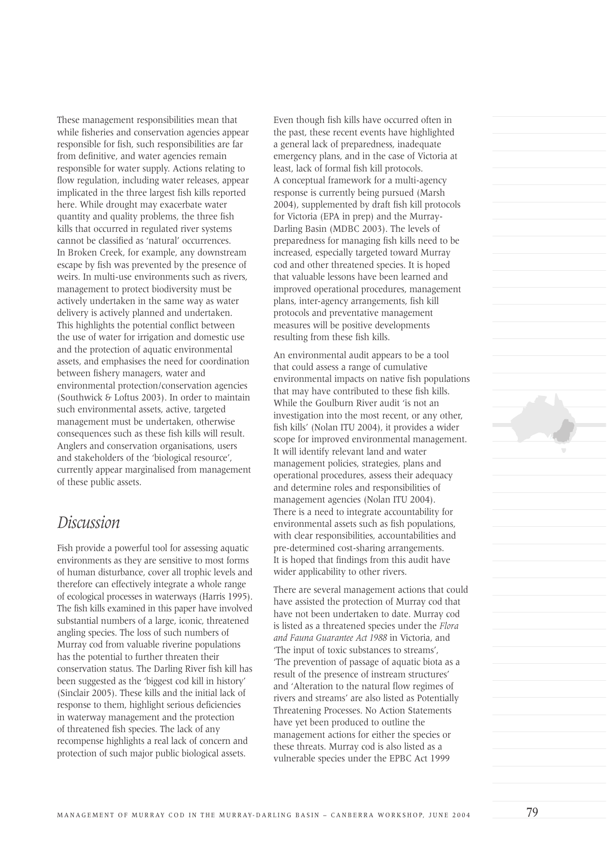These management responsibilities mean that while fisheries and conservation agencies appear responsible for fish, such responsibilities are far from definitive, and water agencies remain responsible for water supply. Actions relating to flow regulation, including water releases, appear implicated in the three largest fish kills reported here. While drought may exacerbate water quantity and quality problems, the three fish kills that occurred in regulated river systems cannot be classified as 'natural' occurrences. In Broken Creek, for example, any downstream escape by fish was prevented by the presence of weirs. In multi-use environments such as rivers, management to protect biodiversity must be actively undertaken in the same way as water delivery is actively planned and undertaken. This highlights the potential conflict between the use of water for irrigation and domestic use and the protection of aquatic environmental assets, and emphasises the need for coordination between fishery managers, water and environmental protection/conservation agencies (Southwick & Loftus 2003). In order to maintain such environmental assets, active, targeted management must be undertaken, otherwise consequences such as these fish kills will result. Anglers and conservation organisations, users and stakeholders of the 'biological resource', currently appear marginalised from management of these public assets.

### *Discussion*

Fish provide a powerful tool for assessing aquatic environments as they are sensitive to most forms of human disturbance, cover all trophic levels and therefore can effectively integrate a whole range of ecological processes in waterways (Harris 1995). The fish kills examined in this paper have involved substantial numbers of a large, iconic, threatened angling species. The loss of such numbers of Murray cod from valuable riverine populations has the potential to further threaten their conservation status. The Darling River fish kill has been suggested as the 'biggest cod kill in history' (Sinclair 2005). These kills and the initial lack of response to them, highlight serious deficiencies in waterway management and the protection of threatened fish species. The lack of any recompense highlights a real lack of concern and protection of such major public biological assets.

Even though fish kills have occurred often in the past, these recent events have highlighted a general lack of preparedness, inadequate emergency plans, and in the case of Victoria at least, lack of formal fish kill protocols. A conceptual framework for a multi-agency response is currently being pursued (Marsh 2004), supplemented by draft fish kill protocols for Victoria (EPA in prep) and the Murray-Darling Basin (MDBC 2003). The levels of preparedness for managing fish kills need to be increased, especially targeted toward Murray cod and other threatened species. It is hoped that valuable lessons have been learned and improved operational procedures, management plans, inter-agency arrangements, fish kill protocols and preventative management measures will be positive developments resulting from these fish kills.

An environmental audit appears to be a tool that could assess a range of cumulative environmental impacts on native fish populations that may have contributed to these fish kills. While the Goulburn River audit 'is not an investigation into the most recent, or any other, fish kills' (Nolan ITU 2004), it provides a wider scope for improved environmental management. It will identify relevant land and water management policies, strategies, plans and operational procedures, assess their adequacy and determine roles and responsibilities of management agencies (Nolan ITU 2004). There is a need to integrate accountability for environmental assets such as fish populations, with clear responsibilities, accountabilities and pre-determined cost-sharing arrangements. It is hoped that findings from this audit have wider applicability to other rivers.

There are several management actions that could have assisted the protection of Murray cod that have not been undertaken to date. Murray cod is listed as a threatened species under the *Flora and Fauna Guarantee Act 1988* in Victoria, and 'The input of toxic substances to streams', 'The prevention of passage of aquatic biota as a result of the presence of instream structures' and 'Alteration to the natural flow regimes of rivers and streams' are also listed as Potentially Threatening Processes. No Action Statements have yet been produced to outline the management actions for either the species or these threats. Murray cod is also listed as a vulnerable species under the EPBC Act 1999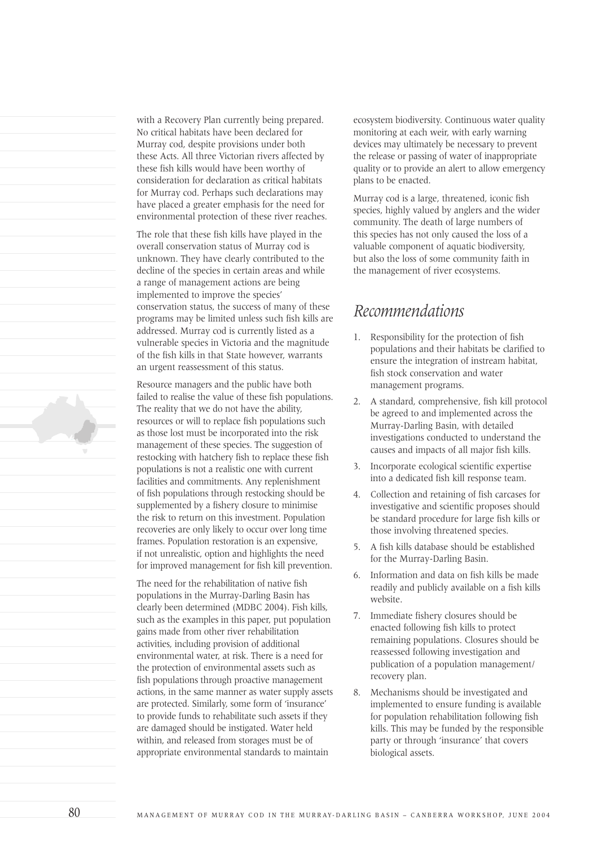with a Recovery Plan currently being prepared. No critical habitats have been declared for Murray cod, despite provisions under both these Acts. All three Victorian rivers affected by these fish kills would have been worthy of consideration for declaration as critical habitats for Murray cod. Perhaps such declarations may have placed a greater emphasis for the need for environmental protection of these river reaches.

The role that these fish kills have played in the overall conservation status of Murray cod is unknown. They have clearly contributed to the decline of the species in certain areas and while a range of management actions are being implemented to improve the species' conservation status, the success of many of these programs may be limited unless such fish kills are addressed. Murray cod is currently listed as a vulnerable species in Victoria and the magnitude of the fish kills in that State however, warrants an urgent reassessment of this status.

Resource managers and the public have both failed to realise the value of these fish populations. The reality that we do not have the ability, resources or will to replace fish populations such as those lost must be incorporated into the risk management of these species. The suggestion of restocking with hatchery fish to replace these fish populations is not a realistic one with current facilities and commitments. Any replenishment of fish populations through restocking should be supplemented by a fishery closure to minimise the risk to return on this investment. Population recoveries are only likely to occur over long time frames. Population restoration is an expensive, if not unrealistic, option and highlights the need for improved management for fish kill prevention.

The need for the rehabilitation of native fish populations in the Murray-Darling Basin has clearly been determined (MDBC 2004). Fish kills, such as the examples in this paper, put population gains made from other river rehabilitation activities, including provision of additional environmental water, at risk. There is a need for the protection of environmental assets such as fish populations through proactive management actions, in the same manner as water supply assets are protected. Similarly, some form of 'insurance' to provide funds to rehabilitate such assets if they are damaged should be instigated. Water held within, and released from storages must be of appropriate environmental standards to maintain

ecosystem biodiversity. Continuous water quality monitoring at each weir, with early warning devices may ultimately be necessary to prevent the release or passing of water of inappropriate quality or to provide an alert to allow emergency plans to be enacted.

Murray cod is a large, threatened, iconic fish species, highly valued by anglers and the wider community. The death of large numbers of this species has not only caused the loss of a valuable component of aquatic biodiversity, but also the loss of some community faith in the management of river ecosystems.

### *Recommendations*

- 1. Responsibility for the protection of fish populations and their habitats be clarified to ensure the integration of instream habitat, fish stock conservation and water management programs.
- 2. A standard, comprehensive, fish kill protocol be agreed to and implemented across the Murray-Darling Basin, with detailed investigations conducted to understand the causes and impacts of all major fish kills.
- 3. Incorporate ecological scientific expertise into a dedicated fish kill response team.
- 4. Collection and retaining of fish carcases for investigative and scientific proposes should be standard procedure for large fish kills or those involving threatened species.
- 5. A fish kills database should be established for the Murray-Darling Basin.
- 6. Information and data on fish kills be made readily and publicly available on a fish kills website.
- 7. Immediate fishery closures should be enacted following fish kills to protect remaining populations. Closures should be reassessed following investigation and publication of a population management/ recovery plan.
- 8. Mechanisms should be investigated and implemented to ensure funding is available for population rehabilitation following fish kills. This may be funded by the responsible party or through 'insurance' that covers biological assets.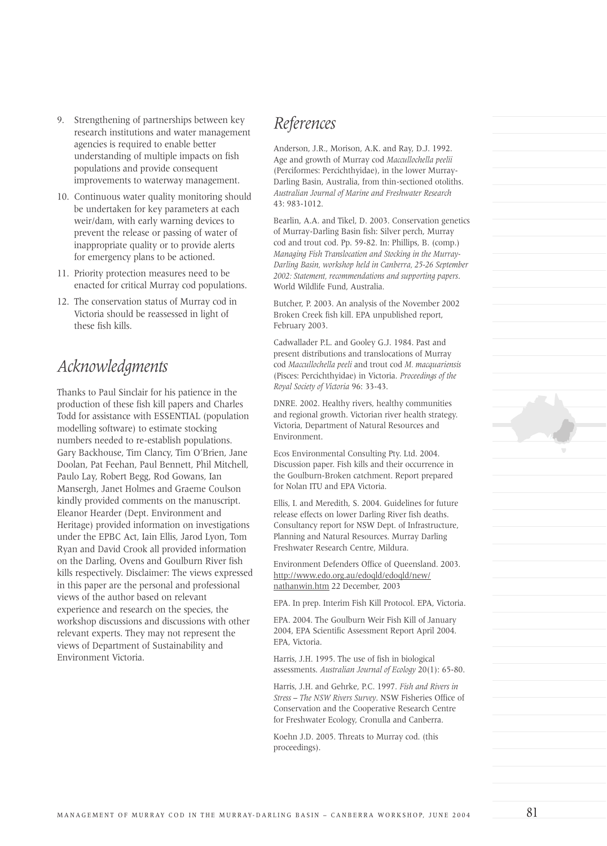- 9. Strengthening of partnerships between key research institutions and water management agencies is required to enable better understanding of multiple impacts on fish populations and provide consequent improvements to waterway management.
- 10. Continuous water quality monitoring should be undertaken for key parameters at each weir/dam, with early warning devices to prevent the release or passing of water of inappropriate quality or to provide alerts for emergency plans to be actioned.
- 11. Priority protection measures need to be enacted for critical Murray cod populations.
- 12. The conservation status of Murray cod in Victoria should be reassessed in light of these fish kills.

## *Acknowledgments*

Thanks to Paul Sinclair for his patience in the production of these fish kill papers and Charles Todd for assistance with ESSENTIAL (population modelling software) to estimate stocking numbers needed to re-establish populations. Gary Backhouse, Tim Clancy, Tim O'Brien, Jane Doolan, Pat Feehan, Paul Bennett, Phil Mitchell, Paulo Lay, Robert Begg, Rod Gowans, Ian Mansergh, Janet Holmes and Graeme Coulson kindly provided comments on the manuscript. Eleanor Hearder (Dept. Environment and Heritage) provided information on investigations under the EPBC Act, Iain Ellis, Jarod Lyon, Tom Ryan and David Crook all provided information on the Darling, Ovens and Goulburn River fish kills respectively. Disclaimer: The views expressed in this paper are the personal and professional views of the author based on relevant experience and research on the species, the workshop discussions and discussions with other relevant experts. They may not represent the views of Department of Sustainability and Environment Victoria.

### *References*

Anderson, J.R., Morison, A.K. and Ray, D.J. 1992. Age and growth of Murray cod *Maccullochella peelii* (Perciformes: Percichthyidae), in the lower Murray-Darling Basin, Australia, from thin-sectioned otoliths. *Australian Journal of Marine and Freshwater Research* 43: 983-1012.

Bearlin, A.A. and Tikel, D. 2003. Conservation genetics of Murray-Darling Basin fish: Silver perch, Murray cod and trout cod. Pp. 59-82. In: Phillips, B. (comp.) *Managing Fish Translocation and Stocking in the Murray-Darling Basin, workshop held in Canberra, 25-26 September 2002: Statement, recommendations and supporting papers*. World Wildlife Fund, Australia.

Butcher, P. 2003. An analysis of the November 2002 Broken Creek fish kill. EPA unpublished report, February 2003.

Cadwallader P.L. and Gooley G.J. 1984. Past and present distributions and translocations of Murray cod *Maccullochella peeli* and trout cod *M. macquariensis* (Pisces: Percichthyidae) in Victoria. *Proceedings of the Royal Society of Victoria* 96: 33-43.

DNRE. 2002. Healthy rivers, healthy communities and regional growth. Victorian river health strategy. Victoria, Department of Natural Resources and Environment.

Ecos Environmental Consulting Pty. Ltd. 2004. Discussion paper. Fish kills and their occurrence in the Goulburn-Broken catchment. Report prepared for Nolan ITU and EPA Victoria.

Ellis, I. and Meredith, S. 2004. Guidelines for future release effects on lower Darling River fish deaths. Consultancy report for NSW Dept. of Infrastructure, Planning and Natural Resources. Murray Darling Freshwater Research Centre, Mildura.

Environment Defenders Office of Queensland. 2003. http://www.edo.org.au/edoqld/edoqld/new/ nathanwin.htm 22 December, 2003

EPA. In prep. Interim Fish Kill Protocol. EPA, Victoria.

EPA. 2004. The Goulburn Weir Fish Kill of January 2004, EPA Scientific Assessment Report April 2004. EPA, Victoria.

Harris, J.H. 1995. The use of fish in biological assessments. *Australian Journal of Ecology* 20(1): 65-80.

Harris, J.H. and Gehrke, P.C. 1997. *Fish and Rivers in Stress – The NSW Rivers Survey*. NSW Fisheries Office of Conservation and the Cooperative Research Centre for Freshwater Ecology, Cronulla and Canberra.

Koehn J.D. 2005. Threats to Murray cod. (this proceedings).